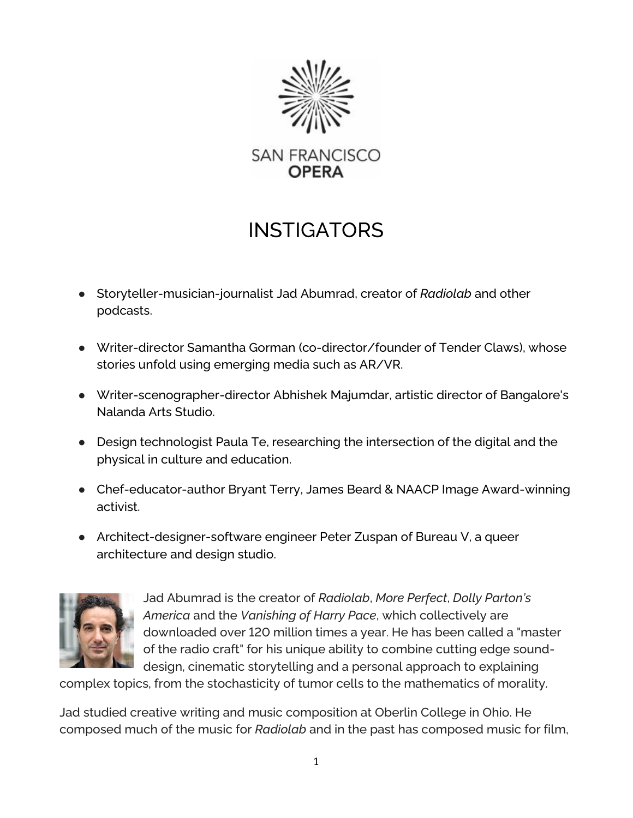

## INSTIGATORS

- Storyteller-musician-journalist Jad Abumrad, creator of *Radiolab* and other podcasts.
- Writer-director Samantha Gorman (co-director/founder of Tender Claws), whose stories unfold using emerging media such as AR/VR.
- Writer-scenographer-director Abhishek Majumdar, artistic director of Bangalore's Nalanda Arts Studio.
- Design technologist Paula Te, researching the intersection of the digital and the physical in culture and education.
- Chef-educator-author Bryant Terry, James Beard & NAACP Image Award-winning activist.
- Architect-designer-software engineer Peter Zuspan of Bureau V, a queer architecture and design studio.



Jad Abumrad is the creator of *Radiolab*, *More Perfect*, *Dolly Parton's America* and the *Vanishing of Harry Pace*, which collectively are downloaded over 120 million times a year. He has been called a "master of the radio craft" for his unique ability to combine cutting edge sounddesign, cinematic storytelling and a personal approach to explaining

complex topics, from the stochasticity of tumor cells to the mathematics of morality.

Jad studied creative writing and music composition at Oberlin College in Ohio. He composed much of the music for *Radiolab* and in the past has composed music for film,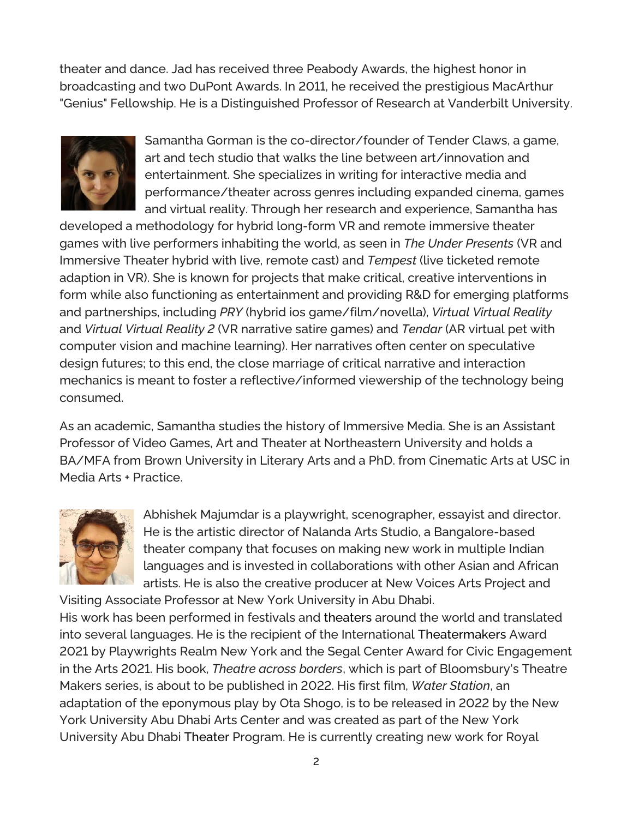theater and dance. Jad has received three Peabody Awards, the highest honor in broadcasting and two DuPont Awards. In 2011, he received the prestigious MacArthur "Genius" Fellowship. He is a Distinguished Professor of Research at Vanderbilt University.



Samantha Gorman is the co-director/founder of Tender Claws, a game, art and tech studio that walks the line between art/innovation and entertainment. She specializes in writing for interactive media and performance/theater across genres including expanded cinema, games and virtual reality. Through her research and experience, Samantha has

developed a methodology for hybrid long-form VR and remote immersive theater games with live performers inhabiting the world, as seen in *The Under Presents* (VR and Immersive Theater hybrid with live, remote cast) and *Tempest* (live ticketed remote adaption in VR). She is known for projects that make critical, creative interventions in form while also functioning as entertainment and providing R&D for emerging platforms and partnerships, including *PRY* (hybrid ios game/film/novella), *Virtual Virtual Reality* and *Virtual Virtual Reality 2* (VR narrative satire games) and *Tendar* (AR virtual pet with computer vision and machine learning). Her narratives often center on speculative design futures; to this end, the close marriage of critical narrative and interaction mechanics is meant to foster a reflective/informed viewership of the technology being consumed.

As an academic, Samantha studies the history of Immersive Media. She is an Assistant Professor of Video Games, Art and Theater at Northeastern University and holds a BA/MFA from Brown University in Literary Arts and a PhD. from Cinematic Arts at USC in Media Arts + Practice.



Abhishek Majumdar is a playwright, scenographer, essayist and director. He is the artistic director of Nalanda Arts Studio, a Bangalore-based theater company that focuses on making new work in multiple Indian languages and is invested in collaborations with other Asian and African artists. He is also the creative producer at New Voices Arts Project and

Visiting Associate Professor at New York University in Abu Dhabi. His work has been performed in festivals and theaters around the world and translated into several languages. He is the recipient of the International Theatermakers Award 2021 by Playwrights Realm New York and the Segal Center Award for Civic Engagement in the Arts 2021. His book, *Theatre across borders*, which is part of Bloomsbury's Theatre Makers series, is about to be published in 2022. His first film, *Water Station*, an adaptation of the eponymous play by Ota Shogo, is to be released in 2022 by the New York University Abu Dhabi Arts Center and was created as part of the New York University Abu Dhabi Theater Program. He is currently creating new work for Royal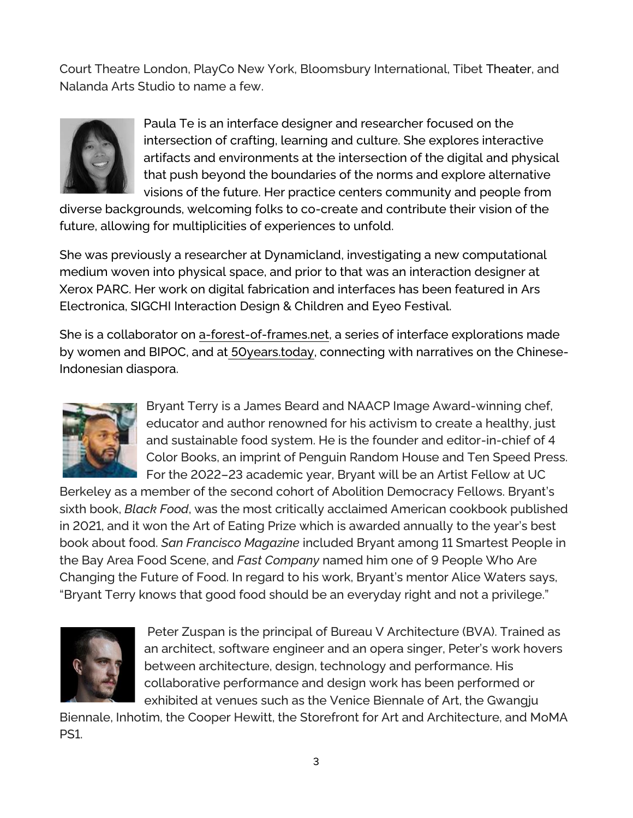Court Theatre London, PlayCo New York, Bloomsbury International, Tibet Theater, and Nalanda Arts Studio to name a few.



Paula Te is an interface designer and researcher focused on the intersection of crafting, learning and culture. She explores interactive artifacts and environments at the intersection of the digital and physical that push beyond the boundaries of the norms and explore alternative visions of the future. Her practice centers community and people from

diverse backgrounds, welcoming folks to co-create and contribute their vision of the future, allowing for multiplicities of experiences to unfold.

She was previously a researcher at Dynamicland, investigating a new computational medium woven into physical space, and prior to that was an interaction designer at Xerox PARC. Her work on digital fabrication and interfaces has been featured in Ars Electronica, SIGCHI Interaction Design & Children and Eyeo Festival.

She is a collaborator on [a-forest-of-frames.net,](https://protect-us.mimecast.com/s/wkmVCxkmq6U558LtYinrd?domain=a-forest-of-frames.net) a series of interface explorations made by women and BIPOC, and at [50years.today,](https://protect-us.mimecast.com/s/gqVICwpl90UEE6vSq-R7i?domain=50years.today) connecting with narratives on the Chinese-Indonesian diaspora.



Bryant Terry is a James Beard and NAACP Image Award-winning chef, educator and author renowned for his activism to create a healthy, just and sustainable food system. He is the founder and editor-in-chief of 4 Color Books, an imprint of Penguin Random House and Ten Speed Press. For the 2022–23 academic year, Bryant will be an Artist Fellow at UC

Berkeley as a member of the second cohort of Abolition Democracy Fellows. Bryant's sixth book, *Black Food*, was the most critically acclaimed American cookbook published in 2021, and it won the Art of Eating Prize which is awarded annually to the year's best book about food. *San Francisco Magazine* included Bryant among 11 Smartest People in the Bay Area Food Scene, and *Fast Company* named him one of 9 People Who Are Changing the Future of Food. In regard to his work, Bryant's mentor Alice Waters says, "Bryant Terry knows that good food should be an everyday right and not a privilege."



Peter Zuspan is the principal of Bureau V Architecture (BVA). Trained as an architect, software engineer and an opera singer, Peter's work hovers between architecture, design, technology and performance. His collaborative performance and design work has been performed or exhibited at venues such as the Venice Biennale of Art, the Gwangju

Biennale, Inhotim, the Cooper Hewitt, the Storefront for Art and Architecture, and MoMA PS1.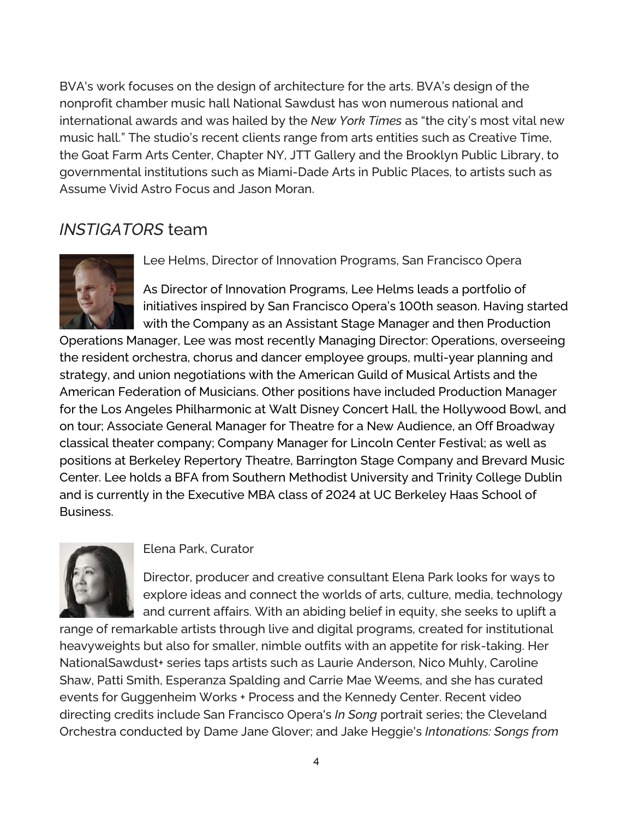BVA's work focuses on the design of architecture for the arts. BVA's design of the nonprofit chamber music hall National Sawdust has won numerous national and international awards and was hailed by the *New York Times* as "the city's most vital new music hall." The studio's recent clients range from arts entities such as Creative Time, the Goat Farm Arts Center, Chapter NY, JTT Gallery and the Brooklyn Public Library, to governmental institutions such as Miami-Dade Arts in Public Places, to artists such as Assume Vivid Astro Focus and Jason Moran.

## *INSTIGATORS* team



Lee Helms, Director of Innovation Programs, San Francisco Opera

As Director of Innovation Programs, Lee Helms leads a portfolio of initiatives inspired by San Francisco Opera's 100th season. Having started with the Company as an Assistant Stage Manager and then Production

Operations Manager, Lee was most recently Managing Director: Operations, overseeing the resident orchestra, chorus and dancer employee groups, multi-year planning and strategy, and union negotiations with the American Guild of Musical Artists and the American Federation of Musicians. Other positions have included Production Manager for the Los Angeles Philharmonic at Walt Disney Concert Hall, the Hollywood Bowl, and on tour; Associate General Manager for Theatre for a New Audience, an Off Broadway classical theater company; Company Manager for Lincoln Center Festival; as well as positions at Berkeley Repertory Theatre, Barrington Stage Company and Brevard Music Center. Lee holds a BFA from Southern Methodist University and Trinity College Dublin and is currently in the Executive MBA class of 2024 at UC Berkeley Haas School of Business.



## Elena Park, Curator

Director, producer and creative consultant Elena Park looks for ways to explore ideas and connect the worlds of arts, culture, media, technology and current affairs. With an abiding belief in equity, she seeks to uplift a

range of remarkable artists through live and digital programs, created for institutional heavyweights but also for smaller, nimble outfits with an appetite for risk-taking. Her NationalSawdust+ series taps artists such as Laurie Anderson, Nico Muhly, Caroline Shaw, Patti Smith, Esperanza Spalding and Carrie Mae Weems, and she has curated events for Guggenheim Works + Process and the Kennedy Center. Recent video directing credits include San Francisco Opera's *In Song* portrait series; the Cleveland Orchestra conducted by Dame Jane Glover; and Jake Heggie's *Intonations: Songs from*